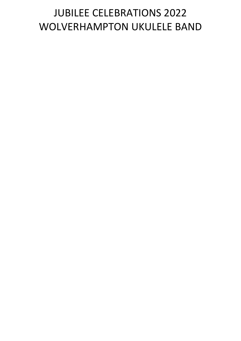## JUBILEE CELEBRATIONS 2022 WOLVERHAMPTON UKULELE BAND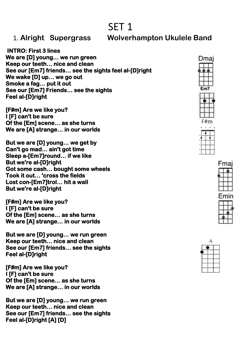## SET 1

1. **Alright Supergrass Wolverhampton Ukulele Band** 

 **INTRO: First 3 lines We are [D] young… we run green Keep our teeth… nice and clean See our [Em7] friends… see the sights feel al-[D]right We wake [D] up… we go out Smoke a fag… put it out See our [Em7] Friends… see the sights Feel al-[D]right** 

**[F#m] Are we like you? I [F] can't be sure Of the [Em] scene… as she turns We are [A] strange… in our worlds** 

**But we are [D] young… we get by Can't go mad… ain't got time Sleep a-[Em7]round… if we like But we're al-[D]right Got some cash… bought some wheels Took it out… 'cross the fields Lost con-[Em7]trol… hit a wall But we're al-[D]right** 

**[F#m] Are we like you? I [F] can't be sure Of the [Em] scene… as she turns We are [A] strange… in our worlds** 

**But we are [D] young… we run green Keep our teeth… nice and clean See our [Em7] friends… see the sights Feel al-[D]right** 

**[F#m] Are we like you? I [F] can't be sure Of the [Em] scene… as she turns We are [A] strange… in our worlds** 

**But we are [D] young… we run green Keep our teeth… nice and clean See our [Em7] friends… see the sights Feel al-[D]right [A] [D]** 





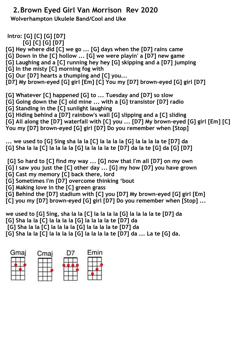### **2.Brown Eyed Girl Van Morrison Rev 2020**

 **Wolverhampton Ukulele Band/Cool and Uke** 

## **Intro: [G] [C] [G] [D7]**

 **[G] [C] [G] [D7]** 

**[G] Hey where did [C] we go ... [G] days when the [D7] rains came** 

**[G] Down in the [C] hollow ... [G] we were playin' a [D7] new game** 

**[G] Laughing and a [C] running hey hey [G] skipping and a [D7] jumping** 

**[G] In the misty [C] morning fog with** 

**[G] Our [D7] hearts a thumping and [C] you...** 

**[D7] My brown-eyed [G] girl [Em] [C] You my [D7] brown-eyed [G] girl [D7]** 

**[G] Whatever [C] happened [G] to ... Tuesday and [D7] so slow [G] Going down the [C] old mine ... with a [G] transistor [D7] radio** 

**[G] Standing in the [C] sunlight laughing** 

**[G] Hiding behind a [D7] rainbow's wall [G] slipping and a [C] sliding** 

**[G] All along the [D7] waterfall with [C] you ... [D7] My brown-eyed [G] girl [Em] [C]** 

**You my [D7] brown-eyed [G] girl [D7] Do you remember when [Stop]**

**... we used to [G] Sing sha la la [C] la la la la [G] la la la la te [D7] da [G] Sha la la [C] la la la la [G] la la la la te [D7] da la te [G] da [G] [D7]**

**[G] So hard to [C] find my way ... [G] now that I'm all [D7] on my own** 

**[G] I saw you just the [C] other day ... [G] my how [D7] you have grown** 

**[G] Cast my memory [C] back there, lord** 

**[G] Sometimes I'm [D7] overcome thinking 'bout** 

**[G] Making love in the [C] green grass** 

**[G] Behind the [D7] stadium with [C] you [D7] My brown-eyed [G] girl [Em]** 

**[C] you my [D7] brown-eyed [G] girl [D7] Do you remember when [Stop] ...** 

**we used to [G] Sing, sha la la [C] la la la la [G] la la la la te [D7] da [G] Sha la la [C] la la la la [G] la la la la te [D7] da**

**[G] Sha la la [C] la la la la [G] la la la la te [D7] da** 

**[G] Sha la la [C] la Ia la la [G] la la la la te [D7] da ... La te [G] da.**

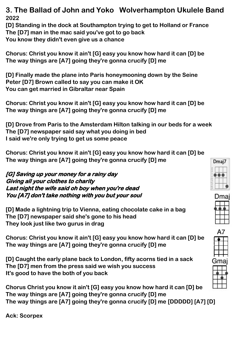**3. The Ballad of John and Yoko Wolverhampton Ukulele Band 2022**

**[D] Standing in the dock at Southampton trying to get to Holland or France The [D7] man in the mac said you've got to go back You know they didn't even give us a chance** 

**Chorus: Christ you know it ain't [G] easy you know how hard it can [D] be The way things are [A7] going they're gonna crucify [D] me** 

**[D] Finally made the plane into Paris honeymooning down by the Seine Peter [D7] Brown called to say you can make it OK You can get married in Gibraltar near Spain** 

**Chorus: Christ you know it ain't [G] easy you know how hard it can [D] be The way things are [A7] going they're gonna crucify [D] me** 

**[D] Drove from Paris to the Amsterdam Hilton talking in our beds for a week The [D7] newspaper said say what you doing in bed I said we're only trying to get us some peace** 

**Chorus: Christ you know it ain't [G] easy you know how hard it can [D] be The way things are [A7] going they're gonna crucify [D] me** 

**[G] Saving up your money for a rainy day Giving all your clothes to charity Last night the wife said oh boy when you're dead You [A7] don't take nothing with you but your soul** 

**[D] Made a lightning trip to Vienna, eating chocolate cake in a bag The [D7] newspaper said she's gone to his head They look just like two gurus in drag** 

**Chorus: Christ you know it ain't [G] easy you know how hard it can [D] be The way things are [A7] going they're gonna crucify [D] me** 

**[D] Caught the early plane back to London, fifty acorns tied in a sack The [D7] men from the press said we wish you success It's good to have the both of you back** 

**Chorus Christ you know it ain't [G] easy you know how hard it can [D] be The way things are [A7] going they're gonna crucify [D] me The way things are [A7] going they're gonna crucify [D] me [DDDDD] [A7] [D]**

**Ack: Scorpex**

|  | Dmaj7 |  |
|--|-------|--|
|  |       |  |
|  |       |  |
|  |       |  |



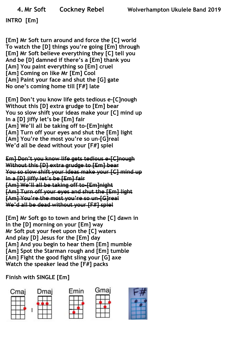**INTRO [Em]**

**[Em] Mr Soft turn around and force the [C] world To watch the [D] things you're going [Em] through [Em] Mr Soft believe everything they [C] tell you And be [D] damned if there's a [Em] thank you [Am] You paint everything so [Em] cruel [Am] Coming on like Mr [Em] Cool [Am] Paint your face and shut the [G] gate No one's coming home till [F#] late** 

**[Em] Don't you know life gets tedious e-[C]nough Without this [D] extra grudge to [Em] bear You so slow shift your ideas make your [C] mind up In a [D] jiffy let's be [Em] fair [Am] We'll all be taking off to-[Em]night [Am] Turn off your eyes and shut the [Em] light [Am] You're the most you're so un-[G]real We'd all be dead without your [F#] spiel** 

**Em] Don't you know life gets tedious e-[C]nough Without this [D] extra grudge to [Em] bear You so slow shift your ideas make your [C] mind up In a [D] jiffy let's be [Em] fair [Am] We'll all be taking off to-[Em]night [Am] Turn off your eyes and shut the [Em] light [Am] You're the most you're so un-[G]real We'd all be dead without your [F#] spiel** 

**[Em] Mr Soft go to town and bring the [C] dawn in In the [D] morning on your [Em] way Mr Soft put your feet upon the [C] waters And play [D] Jesus for the [Em] day [Am] And you begin to hear them [Em] mumble [Am] Spot the Starman rough and [Em] tumble [Am] Fight the good fight sling your [G] axe Watch the speaker lead the [F#] packs**

### **Finish with SINGLE [Em]**

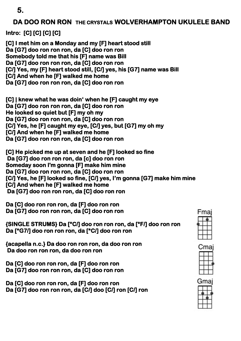**5.** 

### **DA DOO RON RON THE CRYSTALS WOLVERHAMPTON UKULELE BAND**

**Intro: [C] [C] [C] [C]** 

**[C] I met him on a Monday and my [F] heart stood still Da [G7] doo ron ron ron, da [C] doo ron ron Somebody told me that his [F] name was Bill Da [G7] doo ron ron ron, da [C] doo ron ron [C/] Yes, my [F] heart stood still, [C/] yes, his [G7] name was Bill [C/] And when he [F] walked me home Da [G7] doo ron ron ron, da [C] doo ron ron** 

**[C] | knew what he was doin' when he [F] caught my eye Da [G7] doo ron ron ron, da [C] doo ron ron He looked so quiet but [F] my oh my Da [G7] doo ron ron ron, da [C] doo ron ron [C/] Yes, he [F] caught my eye, [C/] yes, but [G7] my oh my [C/] And when he [F] walked me home Da [G7] doo ron ron ron, da [C] doo ron ron** 

**[C] He picked me up at seven and he [F] looked so fine Da [G7] doo ron ron ron, da [c] doo ron ron Someday soon I'm gonna [F] make him mine Da [G7] doo ron ron ron, da [C] doo ron ron [C/] Yes, he [F] looked so fine, [C/] yes, I'm gonna [G7] make him mine [C/] And when he [F] walked me home Da [G7] doo ron ron ron, da [C] doo ron ron** 

**Da [C] doo ron ron ron, da [F] doo ron ron Da [G7] doo ron ron ron, da [C] doo ron ron** 

**{SINGLE STRUMS} Da [\*C/] doo ron ron ron, da [\*F/] doo ron ron Da [\*G7/] doo ron ron ron, da [\*C/] doo ron ron** 

**{acapella n.c.} Da doo ron ron ron, da doo ron ron Da doo ron ron ron, da doo ron ron** 

**Da [C] doo ron ron ron, da [F] doo ron ron Da [G7] doo ron ron ron, da [C] doo ron ron** 

**Da [C] doo ron ron ron, da [F] doo ron ron Da [G7] doo ron ron ron, da [C/] doo [C/] ron [C/] ron** 





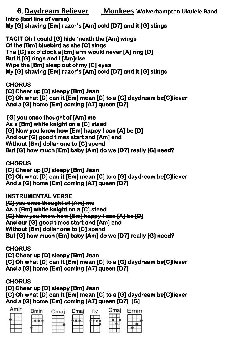**6.Daydream Believer Monkees Wolverhampton Ukulele Band Intro (last line of verse) My [G] shaving [Em] razor's [Am] cold [D7] and it [G] stings** 

**TACIT Oh I could [G] hide 'neath the [Am] wings Of the [Bm] bluebird as she [C] sings The [G] six o'clock a[Em]larm would never [A] ring [D] But it [G] rings and I [Am]rise Wipe the [Bm] sleep out of my [C] eyes My [G] shaving [Em] razor's [Am] cold [D7] and it [G] stings** 

**CHORUS** 

**[C] Cheer up [D] sleepy [Bm] Jean [C] Oh what [D] can it [Em] mean [C] to a [G] daydream be[C]liever And a [G] home [Em] coming [A7] queen [D7]** 

 **[G] you once thought of [Am] me As a [Bm] white knight on a [C] steed [G] Now you know how [Em] happy I can [A] be [D] And our [G] good times start and [Am] end Without [Bm] dollar one to [C] spend But [G] how much [Em] baby [Am] do we [D7] really [G] need?** 

**CHORUS** 

**[C] Cheer up [D] sleepy [Bm] Jean [C] Oh what [D] can it [Em] mean [C] to a [G] daydream be[C]liever And a [G] home [Em] coming [A7] queen [D7]** 

**INSTRUMENTAL VERSE** 

**[G] you once thought of [Am] me As a [Bm] white knight on a [C] steed [G] Now you know how [Em] happy I can [A] be [D] And our [G] good times start and [Am] end Without [Bm] dollar one to [C] spend But [G] how much [Em] baby [Am] do we [D7] really [G] need?** 

**CHORUS** 

**[C] Cheer up [D] sleepy [Bm] Jean [C] Oh what [D] can it [Em] mean [C] to a [G] daydream be[C]liever And a [G] home [Em] coming [A7] queen [D7]** 

**CHORUS** 

**[C] Cheer up [D] sleepy [Bm] Jean [C] Oh what [D] can it [Em] mean [C] to a [G] daydream be[C]liever And a [G] home [Em] coming [A7] queen [D7] [G]** 

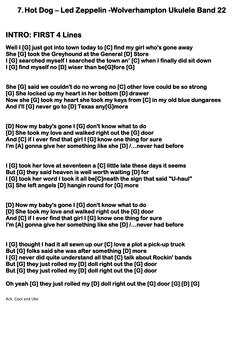### **7.Hot Dog – Led Zeppelin -Wolverhampton Ukulele Band 22**

### **INTRO: FIRST 4 Lines**

**Well I [G] just got into town today to [C] find my girl who's gone away She [G] took the Greyhound at the General [D] Store I [G] searched myself I searched the town an' [C] when I finally did sit down I [G] find myself no [D] wiser than be[G]fore [G]** 

**She [G] said we couldn't do no wrong no [C] other love could be so strong [G] She locked up my heart in her bottom [D] drawer Now she [G] took my heart she took my keys from [C] in my old blue dungarees And I'll [G] never go to [D] Texas any[G]more** 

**[D] Now my baby's gone I [G] don't know what to do [D] She took my love and walked right out the [G] door And [C] if I ever find that girl I [G] know one thing for sure I'm [A] gonna give her something like she [D] /…never had before** 

**I [G] took her love at seventeen a [C] little late these days it seems But [G] they said heaven is well worth waiting [D] for I [G] took her word I took it all be[C]neath the sign that said "U-haul" [G] She left angels [D] hangin round for [G] more** 

**[D] Now my baby's gone I [G] don't know what to do [D] She took my love and walked right out the [G] door And [C] if I ever find that girl I [G] know one thing for sure I'm [A] gonna give her something like she [D] /…never had before** 

**I [G] thought I had it all sewn up our [C] love a plot a pick-up truck But [G] folks said she was after something [D] more I [G] never did quite understand all that [C] talk about Rockin' bands But [G] they just rolled my [D] doll right out the [G] door But [G] they just rolled my [D] doll right out the [G] door** 

**Oh yeah [G] they just rolled my [D] doll right out the [G] door [G] [D] [G]**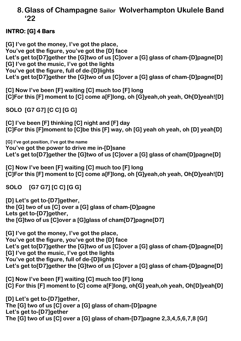### **8.Glass of Champagne Sailor Wolverhampton Ukulele Band '22**

### **INTRO: [G] 4 Bars**

**[G] I've got the money, I've got the place, You've got the figure, you've got the [D] face Let's get to[D7]gether the [G]two of us [C]over a [G] glass of cham-[D]pagne[D] [G] I've got the music, I've got the lights You've got the figure, full of de-[D]lights Let's get to[D7]gether the [G]two of us [C]over a [G] glass of cham-[D]pagne[D]**

**[C] Now I've been [F] waiting [C] much too [F] long [C]For this [F] moment to [C] come a[F]long, oh [G]yeah,oh yeah, Oh[D]yeah![D]**

**SOLO [G7 G7] [C C] [G G]**

**[C] I've been [F] thinking [C] night and [F] day [C]For this [F]moment to [C]be this [F] way, oh [G] yeah oh yeah, oh [D] yeah[D]**

**[G] I've got position, I've got the name You've got the power to drive me in-[D]sane Let's get to[D7]gether the [G]two of us [C]over a [G] glass of cham[D]pagne[D]**

**[C] Now I've been [F] waiting [C] much too [F] long [C]For this [F] moment to [C] come a[F]long, oh [G]yeah,oh yeah, Oh[D]yeah![D]**

**SOLO [G7 G7] [C C] [G G]**

**[D] Let's get to-[D7]gether, the [G] two of us [C] over a [G] glass of cham-[D]pagne Lets get to-[D7]gether, the [G]two of us [C]over a [G]glass of cham[D7]pagne[D7]**

**[G] I've got the money, I've got the place, You've got the figure, you've got the [D] face Let's get to[D7]gether the [G]two of us [C]over a [G] glass of cham-[D]pagne[D] [G] I've got the music, I've got the lights You've got the figure, full of de-[D]lights Let's get to[D7]gether the [G]two of us [C]over a [G] glass of cham-[D]pagne[D]**

**[C] Now I've been [F] waiting [C] much too [F] long [C] For this [F] moment to [C] come a[F]long, oh[G] yeah,oh yeah, Oh[D]yeah[D]**

**[D] Let's get to-[D7]gether, The [G] two of us [C] over a [G] glass of cham-[D]pagne Let's get to-[D7]gether The [G] two of us [C] over a [G] glass of cham-[D7]pagne 2,3,4,5,6,7,8 [G/]**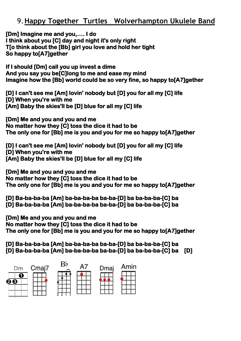### 9.**Happy Together Turtles Wolverhampton Ukulele Band**

**[Dm] Imagine me and you,…. I do I think about you [C] day and night it's only right T[o think about the [Bb] girl you love and hold her tight So happy to[A7]gether** 

**If I should [Dm] call you up invest a dime And you say you be[C]long to me and ease my mind Imagine how the [Bb] world could be so very fine, so happy to[A7]gether** 

**[D] I can't see me [Am] lovin' nobody but [D] you for all my [C] life [D] When you're with me [Am] Baby the skies'll be [D] blue for all my [C] life** 

**[Dm] Me and you and you and me No matter how they [C] toss the dice it had to be The only one for [Bb] me is you and you for me so happy to[A7]gether** 

**[D] I can't see me [Am] lovin' nobody but [D] you for all my [C] life [D] When you're with me [Am] Baby the skies'll be [D] blue for all my [C] life** 

**[Dm] Me and you and you and me** 

**No matter how they [C] toss the dice it had to be The only one for [Bb] me is you and you for me so happy to[A7]gether** 

**[D] Ba-ba-ba-ba [Am] ba-ba-ba-ba ba-ba-[D] ba ba-ba-ba-[C] ba [D] Ba-ba-ba-ba [Am] ba-ba-ba-ba ba-ba-[D] ba ba-ba-ba-[C] ba** 

**[Dm] Me and you and you and me No matter how they [C] toss the dice it had to be The only one for [Bb] me is you and you for me so happy to[A7]gether** 

**[D] Ba-ba-ba-ba [Am] ba-ba-ba-ba ba-ba-[D] ba ba-ba-ba-[C] ba [D] Ba-ba-ba-ba [Am] ba-ba-ba-ba ba-ba-[D] ba ba-ba-ba-[C] ba [D]** 

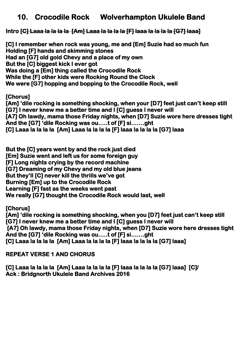### **10. Crocodile Rock Wolverhampton Ukulele Band**

**Intro [C] Laaa la la la la [Am] Laaa la la la la [F] laaa la la la la [G7] laaa]** 

**[C] I remember when rock was young, me and [Em] Suzie had so much fun Holding [F] hands and skimming stones Had an [G7] old gold Chevy and a place of my own But the [C] biggest kick I ever got Was doing a [Em] thing called the Crocodile Rock While the [F] other kids were Rocking Round the Clock We were [G7] hopping and bopping to the Crocodile Rock, well** 

**[Chorus]** 

**[Am] 'dile rocking is something shocking, when your [D7] feet just can't keep still [G7] I never knew me a better time and I [C] guess I never will [A7] Oh lawdy, mama those Friday nights, when [D7] Suzie wore here dresses tight And the [G7] 'dile Rocking was ou…..t of [F] si…….ght [C] Laaa la la la la [Am] Laaa la la la la [F] laaa la la la la [G7] laaa** 

**But the [C] years went by and the rock just died [Em] Suzie went and left us for some foreign guy [F] Long nights crying by the record machine [G7] Dreaming of my Chevy and my old blue jeans But they'll [C] never kill the thrills we've got Burning [Em] up to the Crocodile Rock Learning [F] fast as the weeks went past We really [G7] thought the Crocodile Rock would last, well** 

**[Chorus]** 

**[Am] 'dile rocking is something shocking, when you [D7] feet just can't keep still [G7] I never knew me a better time and I [C] guess I never will [A7] Oh lawdy, mama those Friday nights, when [D7] Suzie wore here dresses tight And the [G7] 'dile Rocking was ou…..t of [F] si…….ght [C] Laaa la la la la [Am] Laaa la la la la [F] laaa la la la la [G7] laaa]** 

**REPEAT VERSE 1 AND CHORUS** 

**[C] Laaa la la la la [Am] Laaa la la la la [F] laaa la la la la [G7] laaa] [C]/ Ack : Bridgnorth Ukulele Band Archives 2016**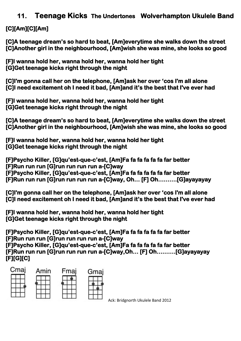### **11. Teenage Kicks The Undertones Wolverhampton Ukulele Band**

**[C][Am][C][Am]** 

**[C]A teenage dream's so hard to beat, [Am]everytime she walks down the street [C]Another girl in the neighbourhood, [Am]wish she was mine, she looks so good** 

**[F]I wanna hold her, wanna hold her, wanna hold her tight [G]Get teenage kicks right through the night** 

**[C]I'm gonna call her on the telephone, [Am]ask her over 'cos I'm all alone [C]I need excitement oh I need it bad, [Am]and it's the best that I've ever had** 

**[F]I wanna hold her, wanna hold her, wanna hold her tight [G]Get teenage kicks right through the night** 

**[C]A teenage dream's so hard to beat, [Am]everytime she walks down the street [C]Another girl in the neighbourhood, [Am]wish she was mine, she looks so good** 

**[F]I wanna hold her, wanna hold her, wanna hold her tight [G]Get teenage kicks right through the night** 

**[F]Psycho Killer, [G]qu'est-que-c'est, [Am]Fa fa fa fa fa fa far better [F]Run run run [G]run run run run a-[C]way [F]Psycho Killer, [G]qu'est-que-c'est, [Am]Fa fa fa fa fa fa far better [F]Run run run [G]run run run run a-[C]way, Oh… [F] Oh……….[G]ayayayay** 

**[C]I'm gonna call her on the telephone, [Am]ask her over 'cos I'm all alone [C]I need excitement oh I need it bad, [Am]and it's the best that I've ever had** 

**[F]I wanna hold her, wanna hold her, wanna hold her tight [G]Get teenage kicks right through the night** 

**[F]Psycho Killer, [G]qu'est-que-c'est, [Am]Fa fa fa fa fa fa far better [F]Run run run [G]run run run run a-[C]way [F]Psycho Killer, [G]qu'est-que-c'est, [Am]Fa fa fa fa fa fa far better [F]Run run run [G]run run run run a-[C]way,Oh… [F] Oh……….[G]ayayayay [F][G][C]** 





Ack: Bridgnorth Ukulele Band 2012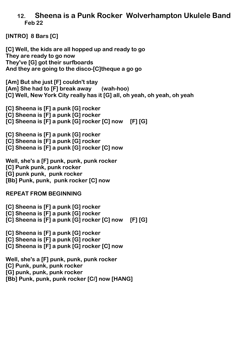### **12. Sheena is a Punk Rocker Wolverhampton Ukulele Band Feb 22**

**[INTRO] 8 Bars [C]**

**[C] Well, the kids are all hopped up and ready to go They are ready to go now They've [G] got their surfboards And they are going to the disco-[C]theque a go go** 

**[Am] But she just [F] couldn't stay [Am] She had to [F] break away (wah-hoo) [C] Well, New York City really has it [G] all, oh yeah, oh yeah, oh yeah**

**[C] Sheena is [F] a punk [G] rocker [C] Sheena is [F] a punk [G] rocker [C] Sheena is [F] a punk [G] rocker [C] now [F] [G]**

**[C] Sheena is [F] a punk [G] rocker** 

**[C] Sheena is [F] a punk [G] rocker** 

**[C] Sheena is [F] a punk [G] rocker [C] now**

**Well, she's a [F] punk, punk, punk rocker [C] Punk punk, punk rocker [G] punk punk, punk rocker [Bb] Punk, punk, punk rocker [C] now**

### **REPEAT FROM BEGINNING**

**[C] Sheena is [F] a punk [G] rocker** 

**[C] Sheena is [F] a punk [G] rocker** 

**[C] Sheena is [F] a punk [G] rocker [C] now [F] [G]**

**[C] Sheena is [F] a punk [G] rocker** 

**[C] Sheena is [F] a punk [G] rocker** 

**[C] Sheena is [F] a punk [G] rocker [C] now**

**Well, she's a [F] punk, punk, punk rocker [C] Punk, punk, punk rocker [G] punk, punk, punk rocker [Bb] Punk, punk, punk rocker [C/] now [HANG]**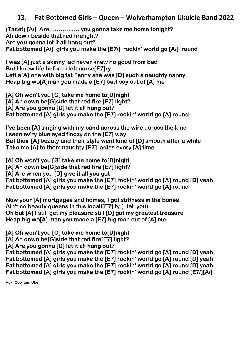### **13. Fat Bottomed Girls – Queen – Wolverhampton Ukulele Band 2022**

**(Tacet) [A/] Are……………. you gonna take me home tonight? Ah down beside that red firelight? Are you gonna let it all hang out? Fat bottomed [A/] girls you make the [E7/] rockin' world go [A/] round**

**I was [A] just a skinny lad never knew no good from bad But I knew life before I left nurse[E7]ry Left a[A]lone with big fat Fanny she was [D] such a naughty nanny Heap big wo[A]man you made a [E7] bad boy out of [A] me** 

**[A] Oh won't you [G] take me home to[D]night [A] Ah down be[G]side that red fire [E7] light? [A] Are you gonna [D] let it all hang out? Fat bottomed [A] girls you make the [E7] rockin' world go [A] round** 

**I've been [A] singing with my band across the wire across the land I seen ev'ry blue eyed floozy on the [E7] way But their [A] beauty and their style went kind of [D] smooth after a while Take me [A] to them naughty [E7] ladies every [A] time** 

**[A] Oh won't you [G] take me home to[D]night [A] Ah down be[G]side that red fire [E7] light? [A] Are when you [D] give it all you got Fat bottomed [A] girls you make the [E7] rockin' world go [A] round [D] yeah Fat bottomed [A] girls you make the [E7] rockin' world go [A] round** 

**Now your [A] mortgages and homes, I got stiffness in the bones Ain't no beauty queens in this locali[E7] ty (I tell you) Oh but [A] I still get my pleasure still [D] got my greatest treasure Heap big wo[A] man you made a [E7] big man out of [A] me** 

**[A] Oh won't you [G] take me home to[D]night [A] Ah down be[G]side that red fire[E7] light? [A] Are you gonna [D] let it all hang out? Fat bottomed [A] girls you make the [E7] rockin' world go [A] round [D] yeah Fat bottomed [A] girls you make the [E7] rockin' world go [A] round [D] yeah Fat bottomed [A] girls you make the [E7] rockin' world go [A] round [D] yeah Fat bottomed [A] girls you make the [E7] rockin' world go [A] round [E7/][A/]**

**Ack: Cool and Uke**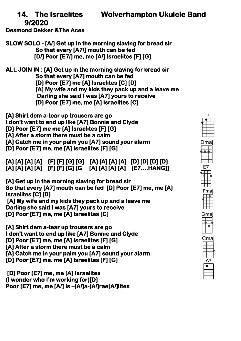### **14. The Israelites Wolverhampton Ukulele Band 9/2020 Desmond Dekker &The Aces SLOW SOLO - [A/] Get up in the morning slaving for bread sir So that every [A7/] mouth can be fed [D/] Poor [E7/] me, me [A/] Israelites [F] [G] ALL JOIN IN : [A] Get up in the morning slaving for bread sir So that every [A7] mouth can be fed [D] Poor [E7] me [A] Israelites [C] [D] [A] My wife and my kids they pack up and a leave me Darling she said I was [A7] yours to receive [D] Poor [E7] me, me [A] Israelites [C] [A] Shirt dem a-tear up trousers are go I don't want to end up like [A7] Bonnie and Clyde [D] Poor [E7] me me [A] Israelites [F] [G] [A] After a storm there must be a calm [A] Catch me in your palm you [A7] sound your alarm [D] Poor [E7] me, me [A] Israelites [F] [G] [A] [A] [A] [A] [F] [F] [G] [G] [A] [A] [A] [A] [D] [D] [D] [D] [A] [A] [A] [A] [F] [F] [G] [G [A] [A] [A] [A] [E7….HANG]] [A] Get up in the morning slaving for bread sir So that every [A7] mouth can be fed [D] Poor [E7] me, me [A] Israelites [C] [D] [A] My wife and my kids they pack up and a leave me Darling she said I was [A7] yours to receive [D] Poor [E7] me, me [A] Israelites [C] [A] Shirt dem a-tear up trousers are go I don't want to end up like [A7] Bonnie and Clyde [D] Poor [E7] me, me [A] Israelites [F] [G] [A] After a storm there must be a calm [A] Catch me in your palm you [A7] sound your alarm [D] Poor [E7] me. me [A] Israelites [F] [G] [D] Poor [E7] me, me [A] Israelites (I wonder who I'm working for)[D] Poor [E7] me, me [A/] Is –[A/]a-[A/]rae[A/]lites**

# Dmai E7 Fmai  $\Box$ Gmai Cmai A7

 $\overline{A}$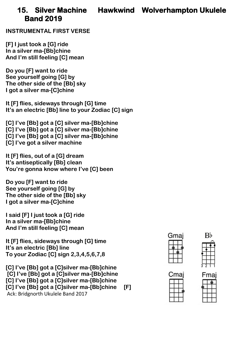### **15. Silver Machine Hawkwind Wolverhampton Ukulele Band 2019**

### **INSTRUMENTAL FIRST VERSE**

**[F] I just took a [G] ride In a silver ma-[Bb]chine And I'm still feeling [C] mean** 

**Do you [F] want to ride See yourself going [G] by The other side of the [Bb] sky I got a silver ma-[C]chine** 

**It [F] flies, sideways through [G] time It's an electric [Bb] line to your Zodiac [C] sign** 

**[C] I've [Bb] got a [C] silver ma-[Bb]chine [C] I've [Bb] got a [C] silver ma-[Bb]chine [C] I've [Bb] got a [C] silver ma-[Bb]chine [C] I've got a silver machine** 

**It [F] flies, out of a [G] dream It's antiseptically [Bb] clean You're gonna know where I've [C] been** 

**Do you [F] want to ride See yourself going [G] by The other side of the [Bb] sky I got a silver ma-[C]chine** 

**I said [F] I just took a [G] ride In a silver ma-[Bb]chine And I'm still feeling [C] mean** 

**It [F] flies, sideways through [G] time It's an electric [Bb] line To your Zodiac [C] sign 2,3,4,5,6,7,8** 

**[C] I've [Bb] got a [C]silver ma-[Bb]chine [C] I've [Bb] got a [C]silver ma-[Bb]chine [C] I've [Bb] got a [C]silver ma-[Bb]chine [C] I've [Bb] got a [C]silver ma-[Bb]chine [F]**  Ack: Bridgnorth Ukulele Band 2017





| 3 |  |  |
|---|--|--|

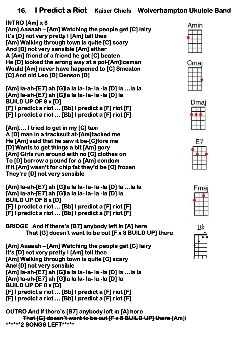### **16. I Predict a Riot Kaiser Chiefs Wolverhampton Ukulele Band**

**INTRO [Am] x 8 [Am] Aaaaah – [Am] Watching the people get [C] lairy It's [D] not very pretty I [Am] tell thee [Am] Walking through town is quite [C] scary And [D] not very sensible [Am] either A [Am] friend of a friend he got [C] beaten He [D] looked the wrong way at a pol-[Am]iceman Would [Am] never have happened to [C] Smeaton [C] And old Leo [D] Denson [D]** 

**[Am] la-ah-[E7] ah [G]la la la- la- la -la [D] la …la la [Am] la-ah-[E7] ah [G]la la la- la- la -la [D] la BUILD UP OF 8 x [D] [F] I predict a riot … [Bb] I predict a [F] riot [F] [F] I predict a riot … [Bb] I predict a [F] riot [F]** 

**[Am]…. I tried to get in my [C] taxi A [D] man in a tracksuit at-[Am]tacked me He [Am] said that he saw it be-[C]fore me [D] Wants to get things a bit [Am] gory [Am] Girls run around with no [C] clothes on To [D] borrow a pound for a [Am] condom If it [Am] wasn't for chip fat they'd be [C] frozen They're [D] not very sensible** 

**[Am] la-ah-[E7] ah [G]la la la- la- la -la [D] la …la la [Am] la-ah-[E7] ah [G]la la la- la- la -la [D] la BUILD UP OF 8 x [D] [F] I predict a riot … [Bb] I predict a [F] riot [F] [F] I predict a riot … [Bb] I predict a [F] riot [F]** 

### **BRIDGE And if there's [B7] anybody left in [A] here That [G] doesn't want to be out [F x 8 BUILD UP] there**

**[Am] Aaaaah – [Am] Watching the people get [C] lairy It's [D] not very pretty I [Am] tell thee [Am] Walking through town is quite [C] scary And [D] not very sensible [Am] la-ah-[E7] ah [G]la la la- la- la -la [D] la …la la [Am] la-ah-[E7] ah [G]la la la- la- la -la [D] la BUILD UP OF 8 x [D] [F] I predict a riot … [Bb] I predict a [F] riot [F] [F] I predict a riot … [Bb] I predict a [F] riot [F]** 

**OUTRO And if there's [B7] anybody left in [A] here That [G] doesn't want to be out [F x 8 BUILD UP] there [Am]/ \*\*\*\*\*\*2 SONGS LEFT\*\*\*\*\*** 











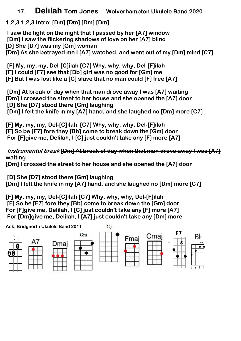### **17. Delilah Tom Jones Wolverhampton Ukulele Band 2020**

### **1,2,3 1,2,3 Intro: [Dm] [Dm] [Dm] [Dm]**

**I saw the light on the night that I passed by her [A7] window [Dm] I saw the flickering shadows of love on her [A7] blind [D] She [D7] was my [Gm] woman [Dm] As she betrayed me I [A7] watched, and went out of my [Dm] mind [C7]**

**[F] My, my, my, Del-[C]ilah [C7] Why, why, why, Del-[F]ilah [F] I could [F7] see that [Bb] girl was no good for [Gm] me [F] But I was lost like a [C] slave that no man could [F] free [A7]**

**[Dm] At break of day when that man drove away I was [A7] waiting [Dm] I crossed the street to her house and she opened the [A7] door [D] She [D7] stood there [Gm] laughing [Dm] I felt the knife in my [A7] hand, and she laughed no [Dm] more [C7]**

**[F] My, my, my, Del-[C]ilah [C7] Why, why, why, Del-[F]ilah [F] So be [F7] fore they [Bb] come to break down the [Gm] door For [F]give me, Delilah, I [C] just couldn't take any [F] more [A7]**

**Instrumental break [Dm] At break of day when that man drove away I was [A7] waiting [Dm] I crossed the street to her house and she opened the [A7] door**

**[D] She [D7] stood there [Gm] laughing [Dm] I felt the knife in my [A7] hand, and she laughed no [Dm] more [C7]** 

**[F] My, my, my, Del-[C]ilah [C7] Why, why, why, Del-[F]ilah [F] So be [F7] fore they [Bb] come to break down the [Gm] door For [F]give me, Delilah, I [C] just couldn't take any [F] more [A7] For [Dm]give me, Delilah, I [A7] just couldn't take any [Dm] more**

**Ack: Bridgnorth Ukulele Band 2011** $C<sub>7</sub>$ F7  $Gm$ Cmaj  $Bb$ Dm Fmai  $\bullet$ Dmai ุ ค 20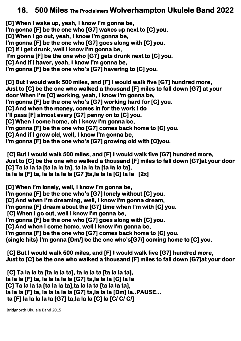### **18. 500 Miles The Proclaimers Wolverhampton Ukulele Band 2022**

**[C] When I wake up, yeah, I know I'm gonna be,** 

**I'm gonna [F] be the one who [G7] wakes up next to [C] you.** 

**[C] When I go out, yeah, I know I'm gonna be,** 

**I'm gonna [F] be the one who [G7] goes along with [C] you.** 

**[C] If I get drunk, well I know I'm gonna be,** 

 **I'm gonna [F] be the one who [G7] gets drunk next to [C] you.** 

**[C] And if I haver, yeah, I know I'm gonna be,** 

**I'm gonna [F] be the one who's [G7] havering to [C] you.** 

**[C] But I would walk 500 miles, and [F] I would walk five [G7] hundred more, Just to [C] be the one who walked a thousand [F] miles to fall down [G7] at your door When I'm [C] working, yeah, I know I'm gonna be,** 

**I'm gonna [F] be the one who's [G7] working hard for [C] you.** 

**[C] And when the money, comes in for the work I do** 

**I'll pass [F] almost every [G7] penny on to [C] you.** 

**[C] When I come home, oh I know I'm gonna be,** 

**I'm gonna [F] be the one who [G7] comes back home to [C] you.** 

**[C] And if I grow old, well, I know I'm gonna be,** 

**I'm gonna [F] be the one who's [G7] growing old with [C]you.** 

 **[C] But I would walk 500 miles, and [F] I would walk five [G7] hundred more, Just to [C] be the one who walked a thousand [F] miles to fall down [G7]at your door [C] Ta la la ta [ta la la ta], ta la la ta [ta la la ta], la la la [F] ta, la la la la la [G7 ]ta,la la la [C] la la [2x]** 

**[C] When I'm lonely, well, I know I'm gonna be,** 

**I'm gonna [F] be the one who's [G7] lonely without [C] you.** 

**[C] And when I'm dreaming, well, I know I'm gonna dream,** 

**I'm gonna [F] dream about the [G7] time when I'm with [C] you.** 

 **[C] When I go out, well I know I'm gonna be,** 

**I'm gonna [F] be the one who [G7] goes along with [C] you.** 

**[C] And when I come home, well I know I'm gonna be,** 

**I'm gonna [F] be the one who [G7] comes back home to [C] you.** 

**{single hits} I'm gonna [Dm/] be the one who's[G7/] coming home to [C] you.** 

 **[C] But I would walk 500 miles, and [F] I would walk five [G7] hundred more, Just to [C] be the one who walked a thousand [F] miles to fall down [G7]at your door** 

 **[C] Ta la la ta [ta la la ta], ta la la ta [ta la la ta], la la la [F] ta, la la la la la [G7] ta,la la la [C] la la [C] Ta la la ta [ta la la ta],ta la la ta [ta la la ta], la la la [F] ta, la la la la la [G7] ta,la la la [Dm] la..PAUSE... ta [F] la la la la la [G7] ta,la la la [C] la [C/ C/ C/]**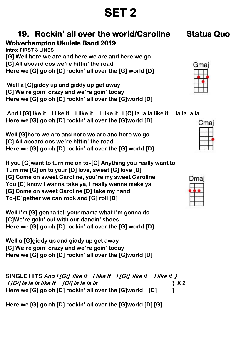## **SET 2**

### **19. Rockin' all over the world/Caroline Status Quo Wolverhampton Ukulele Band 2019**

**Intro: FIRST 3 LINES [G] Well here we are and here we are and here we go [C] All aboard cos we're hittin' the road Here we [G] go oh [D] rockin' all over the [G] world [D]**

**Well a [G]giddy up and giddy up get away [C] We're goin' crazy and we're goin' today Here we [G] go oh [D] rockin' all over the [G]world [D]**

**And I [G]like it I like it I like it I like it I [C] la la la like it la la la la Here we [G] go oh [D] rockin' all over the [G]world [D]**

**Well [G]here we are and here we are and here we go [C] All aboard cos we're hittin' the road Here we [G] go oh [D] rockin' all over the [G] world [D]**

**If you [G]want to turn me on to [C] Anything you really want to Turn me [G] on to your [D] love, sweet [G] love [D] [G] Come on sweet Caroline, you're my sweet Caroline You [C] know I wanna take ya, I really wanna make ya [G] Come on sweet Caroline [D] take my hand To-[C]gether we can rock and [G] roll [D]**

**Well I'm [G] gonna tell your mama what I'm gonna do [C]We're goin' out with our dancin' shoes Here we [G] go oh [D] rockin' all over the [G] world [D]**

**Well a [G]giddy up and giddy up get away [C] We're goin' crazy and we're goin' today Here we [G] go oh [D] rockin' all over the [G]world [D]**

**SINGLE HITS And I [G/] like it I like it I [G/] like it I like it } I [C/] la la la like it [C/] la la la la } X 2 Here we [G] go oh [D] rockin' all over the [G]world [D] }**

**Here we [G] go oh [D] rockin' all over the [G]world [D] [G]**





| ۶ |  |  |  |
|---|--|--|--|
|   |  |  |  |
|   |  |  |  |
|   |  |  |  |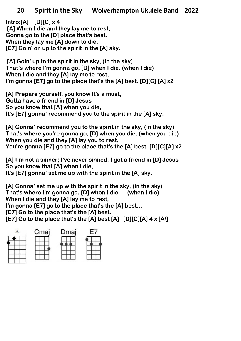20. **Spirit in the Sky Wolverhampton Ukulele Band 2022**

**Intro:[A] [D][C] x 4 [A] When I die and they lay me to rest, Gonna go to the [D] place that's best. When they lay me [A] down to die, [E7] Goin' on up to the spirit in the [A] sky.** 

**[A] Goin' up to the spirit in the sky, (In the sky) That's where I'm gonna go, [D] when I die. (when I die) When I die and they [A] lay me to rest, I'm gonna [E7] go to the place that's the [A] best. [D][C] [A] x2** 

**[A] Prepare yourself, you know it's a must, Gotta have a friend in [D] Jesus So you know that [A] when you die, It's [E7] gonna' recommend you to the spirit in the [A] sky.** 

**[A] Gonna' recommend you to the spirit in the sky, (in the sky) That's where you're gonna go, [D] when you die. (when you die) When you die and they [A] lay you to rest, You're gonna [E7] go to the place that's the [A] best. [D][C][A] x2** 

**[A] I'm not a sinner; I've never sinned. I got a friend in [D] Jesus So you know that [A] when I die, It's [E7] gonna' set me up with the spirit in the [A] sky.** 

**[A] Gonna' set me up with the spirit in the sky, (in the sky) That's where I'm gonna go, [D] when I die. (when I die) When I die and they [A] lay me to rest, I'm gonna [E7] go to the place that's the [A] best... [E7] Go to the place that's the [A] best.** 

**[E7] Go to the place that's the [A] best [A] [D][C][A] 4 x [A/]**

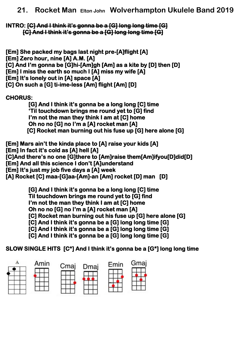### **INTRO: [C] And I think it's gonna be a [G] long long time [G] [C] And I think it's gonna be a [G] long long time [G]**

**[Em] She packed my bags last night pre-[A]flight [A] [Em] Zero hour, nine [A] A.M. [A] [C] And I'm gonna be [G]hi-[Am]gh [Am] as a kite by [D] then [D] [Em] I miss the earth so much I [A] miss my wife [A] [Em] It's lonely out in [A] space [A] [C] On such a [G] ti-ime-less [Am] flight [Am] [D]** 

### **CHORUS:**

 **[G] And I think it's gonna be a long long [C] time 'Til touchdown brings me round yet to [G] find I'm not the man they think I am at [C] home Oh no no [G] no I'm a [A] rocket man [A] [C] Rocket man burning out his fuse up [G] here alone [G]** 

**[Em] Mars ain't the kinda place to [A] raise your kids [A] [Em] In fact it's cold as [A] hell [A] [C]And there's no one [G]there to [Am]raise them[Am]ifyou[D]did[D] [Em] And all this science I don't [A]understand [Em] It's just my job five days a [A] week [A] Rocket [C] maa-[G]aa-[Am]-an [Am] rocket [D] man [D]** 

> **[G] And I think it's gonna be a long long [C] time Til touchdown brings me round yet to [G] find I'm not the man they think I am at [C] home Oh no no [G] no I'm a [A] rocket man [A] [C] Rocket man burning out his fuse up [G] here alone [G] [C] And I think it's gonna be a [G] long long time [G] [C] And I think it's gonna be a [G] long long time [G] [C] And I think it's gonna be a [G] long long time [G]**

### **SLOW SINGLE HITS [C\*] And I think it's gonna be a [G\*] long long time**

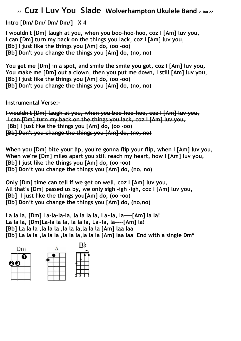### 22. **Cuz I Luv You Slade Wolverhampton Ukulele Band v. Jan 22**

**Intro [Dm/ Dm/ Dm/ Dm/] X 4**

**I wouldn't [Dm] laugh at you, when you boo-hoo-hoo, coz I [Am] luv you, I can [Dm] turn my back on the things you lack, coz I [Am] luv you, [Bb] I just like the things you [Am] do, (oo -oo) [Bb] Don't you change the things you [Am] do, (no, no)** 

**You get me [Dm] in a spot, and smile the smile you got, coz I [Am] luv you, You make me [Dm] out a clown, then you put me down, I still [Am] luv you, [Bb] I just like the things you [Am] do, (oo -oo) [Bb] Don't you change the things you [Am] do, (no, no)** 

**Instrumental Verse:-**

**I wouldn't [Dm] laugh at you, when you boo-hoo-hoo, coz I [Am] luv you, I can [Dm] turn my back on the things you lack, coz I [Am] luv you, [Bb] I just like the things you [Am] do, (oo -oo) [Bb] Don't you change the things you [Am] do, (no, no)** 

**When you [Dm] bite your lip, you're gonna flip your flip, when I [Am] luv you, When we're [Dm] miles apart you still reach my heart, how I [Am] luv you, [Bb] I just like the things you [Am] do, (oo -oo) [Bb] Don't you change the things you [Am] do, (no, no)** 

**Only [Dm] time can tell if we get on well, coz I [Am] luv you, All that's [Dm] passed us by, we only sigh -igh -igh, coz I [Am] luv you, [Bb] I just like the things you[Am] do, (oo -oo) [Bb] Don't you change the things you [Am] do, (no,no)** 

**La la la, [Dm] La-la-la-la, la la la la, La~la, la----[Am] la la! La la la, [Dm]La-la la la, la la la, La~la, la----[Am] la! [Bb] La la la ,la la la ,la la la,la la la [Am] laa laa [Bb] La la la ,la la la ,la la la,la la la [Am] laa laa End with a single Dm\***

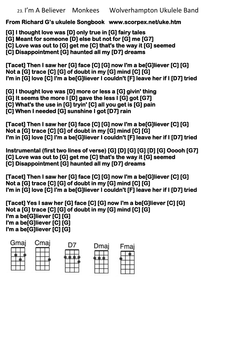**From Richard G's ukulele Songbook www.scorpex.net/uke.htm** 

**[G] I thought love was [D] only true in [G] fairy tales** 

**[G] Meant for someone [D] else but not for [G] me [G7]** 

**[C] Love was out to [G] get me [C] that's the way it [G] seemed** 

**[C] Disappointment [G] haunted all my [D7] dreams** 

**[Tacet] Then I saw her [G] face [C] [G] now I'm a be[G]liever [C] [G] Not a [G] trace [C] [G] of doubt in my [G] mind [C] [G] I'm in [G] love [C] I'm a be[G]liever I couldn't [F] leave her if I [D7] tried** 

**[G] I thought love was [D] more or less a [G] givin' thing [G] It seems the more I [D] gave the less I [G] got [G7] [C] What's the use in [G] tryin' [C] all you get is [G] pain [C] When I needed [G] sunshine I got [D7] rain** 

**[Tacet] Then I saw her [G] face [C] [G] now I'm a be[G]liever [C] [G] Not a [G] trace [C] [G] of doubt in my [G] mind [C] [G] I'm in [G] love [C] I'm a be[G]liever I couldn't [F] leave her if I [D7] tried** 

**Instrumental (first two lines of verse) [G] [D] [G] [G] [D] [G] Ooooh [G7] [C] Love was out to [G] get me [C] that's the way it [G] seemed [C] Disappointment [G] haunted all my [D7] dreams** 

**[Tacet] Then I saw her [G] face [C] [G] now I'm a be[G]liever [C] [G] Not a [G] trace [C] [G] of doubt in my [G] mind [C] [G] I'm in [G] love [C] I'm a be[G]liever I couldn't [F] leave her if I [D7] tried** 

**[Tacet] Yes I saw her [G] face [C] [G] now I'm a be[G]liever [C] [G] Not a [G] trace [C] [G] of doubt in my [G] mind [C] [G] I'm a be[G]liever [C] [G] I'm a be[G]liever [C] [G] I'm a be[G]liever [C] [G]** 

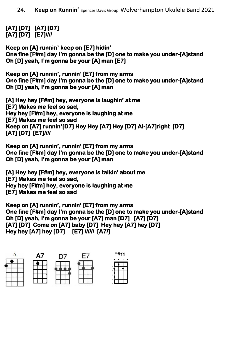**[A7] [D7] [A7] [D7] [A7] [D7] [E7]////** 

**Keep on [A] runnin' keep on [E7] hidin' One fine [F#m] day I'm gonna be the [D] one to make you under-[A]stand Oh [D] yeah, I'm gonna be your [A] man [E7]** 

**Keep on [A] runnin', runnin' [E7] from my arms One fine [F#m] day I'm gonna be the [D] one to make you under-[A]stand Oh [D] yeah, I'm gonna be your [A] man** 

**[A] Hey hey [F#m] hey, everyone is laughin' at me [E7] Makes me feel so sad, Hey hey [F#m] hey, everyone is laughing at me [E7] Makes me feel so sad Keep on [A7] runnin'[D7] Hey Hey [A7] Hey [D7] Al-[A7]right [D7] [A7] [D7] [E7]////** 

**Keep on [A] runnin', runnin' [E7] from my arms One fine [F#m] day I'm gonna be the [D] one to make you under-[A]stand Oh [D] yeah, I'm gonna be your [A] man** 

**[A] Hey hey [F#m] hey, everyone is talkin' about me [E7] Makes me feel so sad, Hey hey [F#m] hey, everyone is laughing at me [E7] Makes me feel so sad** 

**Keep on [A] runnin', runnin' [E7] from my arms One fine [F#m] day I'm gonna be the [D] one to make you under-[A]stand Oh [D] yeah, I'm gonna be your [A7] man [D7] [A7] [D7] [A7] [D7] Come on [A7] baby [D7] Hey hey [A7] hey [D7] Hey hey [A7] hey [D7] [E7] ////// [A7/]** 

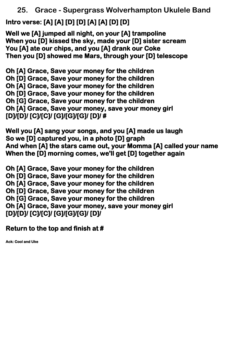### **25. Grace - Supergrass Wolverhampton Ukulele Band**

### **Intro verse: [A] [A] [D] [D] [A] [A] [D] [D]**

**Well we [A] jumped all night, on your [A] trampoline When you [D] kissed the sky, made your [D] sister scream You [A] ate our chips, and you [A] drank our Coke Then you [D] showed me Mars, through your [D] telescope** 

**Oh [A] Grace, Save your money for the children Oh [D] Grace, Save your money for the children Oh [A] Grace, Save your money for the children Oh [D] Grace, Save your money for the children Oh [G] Grace, Save your money for the children Oh [A] Grace, Save your money, save your money girl [D]/[D]/ [C]/[C]/ [G]/[G]/[G]/ [D]/ #** 

**Well you [A] sang your songs, and you [A] made us laugh So we [D] captured you, in a photo [D] graph And when [A] the stars came out, your Momma [A] called your name When the [D] morning comes, we'll get [D] together again** 

**Oh [A] Grace, Save your money for the children Oh [D] Grace, Save your money for the children Oh [A] Grace, Save your money for the children Oh [D] Grace, Save your money for the children Oh [G] Grace, Save your money for the children Oh [A] Grace, Save your money, save your money girl [D]/[D]/ [C]/[C]/ [G]/[G]/[G]/ [D]/** 

### **Return to the top and finish at #**

**Ack: Cool and Uke**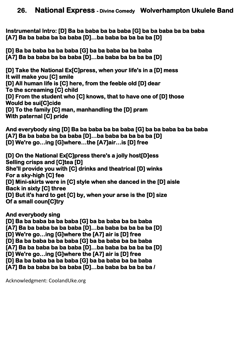**Instrumental Intro: [D] Ba ba baba ba ba baba [G] ba ba baba ba ba baba [A7] Ba ba baba ba ba baba [D]…ba baba ba ba ba ba [D]** 

**[D] Ba ba baba ba ba baba [G] ba ba baba ba ba baba [A7] Ba ba baba ba ba baba [D]…ba baba ba ba ba ba [D]** 

**[D] Take the National Ex[C]press, when your life's in a [D] mess It will make you [C] smile [D] All human life is [C] here, from the feeble old [D] dear To the screaming [C] child [D] From the student who [C] knows, that to have one of [D] those Would be sui[C]cide [D] To the family [C] man, manhandling the [D] pram With paternal [C] pride** 

**And everybody sing [D] Ba ba baba ba ba baba [G] ba ba baba ba ba baba [A7] Ba ba baba ba ba baba [D]…ba baba ba ba ba ba [D] [D] We're go…ing [G]where…the [A7]air…is [D] free** 

**[D] On the National Ex[C]press there's a jolly host[D]ess Selling crisps and [C]tea [D] She'll provide you with [C] drinks and theatrical [D] winks For a sky-high [C] fee [D] Mini-skirts were in [C] style when she danced in the [D] aisle Back in sixty [C] three [D] But it's hard to get [C] by, when your arse is the [D] size Of a small coun[C]try** 

**And everybody sing** 

**[D] Ba ba baba ba ba baba [G] ba ba baba ba ba baba [A7] Ba ba baba ba ba baba [D]…ba baba ba ba ba ba [D] [D] We're go…ing [G]where the [A7] air is [D] free [D] Ba ba baba ba ba baba [G] ba ba baba ba ba baba [A7] Ba ba baba ba ba baba [D]…ba baba ba ba ba ba [D] [D] We're go…ing [G]where the [A7] air is [D] free [D] Ba ba baba ba ba baba [G] ba ba baba ba ba baba [A7] Ba ba baba ba ba baba [D]…ba baba ba ba ba ba /** 

Acknowledgment: CoolandUke.org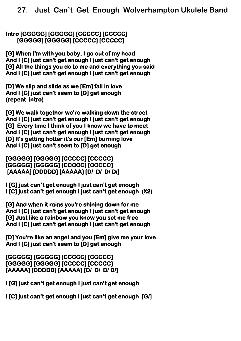### **Intro [GGGGG] [GGGGG] [CCCCC] [CCCCC] [GGGGG] [GGGGG] [CCCCC] [CCCCC]**

**[G] When I'm with you baby, I go out of my head And I [C] just can't get enough I just can't get enough [G] All the things you do to me and everything you said And I [C] just can't get enough I just can't get enough** 

**[D] We slip and slide as we [Em] fall in love And I [C] just can't seem to [D] get enough (repeat intro)** 

**[G] We walk together we're walking down the street And I [C] just can't get enough I just can't get enough [G] Every time I think of you I know we have to meet And I [C] just can't get enough I just can't get enough [D] It's getting hotter it's our [Em] burning love And I [C] just can't seem to [D] get enough** 

**[GGGGG] [GGGGG] [CCCCC] [CCCCC] [GGGGG] [GGGGG] [CCCCC] [CCCCC] [AAAAA] [DDDDD] [AAAAA] [D/ D/ D/ D/]** 

**I [G] just can't get enough I just can't get enough I [C] just can't get enough I just can't get enough (X2)** 

**[G] And when it rains you're shining down for me And I [C] just can't get enough I just can't get enough [G] Just like a rainbow you know you set me free And I [C] just can't get enough I just can't get enough** 

**[D] You're like an angel and you [Em] give me your love And I [C] just can't seem to [D] get enough** 

**[GGGGG] [GGGGG] [CCCCC] [CCCCC] [GGGGG] [GGGGG] [CCCCC] [CCCCC] [AAAAA] [DDDDD] [AAAAA] [D/ D/ D/ D/]** 

**I [G] just can't get enough I just can't get enough** 

**I [C] just can't get enough I just can't get enough [G/]**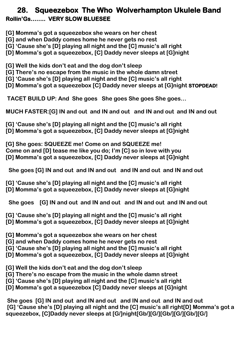### **28. Squeezebox The Who Wolverhampton Ukulele Band Rollin'Gs…….. VERY SLOW BLUESEE**

**[G] Momma's got a squeezebox she wears on her chest**

**[G] and when Daddy comes home he never gets no rest**

**[G] 'Cause she's [D] playing all night and the [C] music's all right**

**[D] Momma's got a squeezebox, [C] Daddy never sleeps at [G]night**

**[G] Well the kids don't eat and the dog don't sleep**

**[G] There's no escape from the music in the whole damn street**

**[G] 'Cause she's [D] playing all night and the [C] music's all right**

**[D] Momma's got a squeezebox [C] Daddy never sleeps at [G]night STOPDEAD!**

**TACET BUILD UP: And She goes She goes She goes She goes…**

**MUCH FASTER:[G] IN and out and IN and out and IN and out and IN and out**

**[G] 'Cause she's [D] playing all night and the [C] music's all right [D] Momma's got a squeezebox, [C] Daddy never sleeps at [G]night** 

**[G] She goes: SQUEEZE me! Come on and SQUEEZE me! Come on and [D] tease me like you do; I'm [C] so in love with you [D] Momma's got a squeezebox, [C] Daddy never sleeps at [G]night**

 **She goes [G] IN and out and IN and out and IN and out and IN and out**

**[G] 'Cause she's [D] playing all night and the [C] music's all right [D] Momma's got a squeezebox, [C] Daddy never sleeps at [G]night**

 **She goes [G] IN and out and IN and out and IN and out and IN and out**

**[G] 'Cause she's [D] playing all night and the [C] music's all right [D] Momma's got a squeezebox, [C] Daddy never sleeps at [G]night** 

**[G] Momma's got a squeezebox she wears on her chest**

**[G] and when Daddy comes home he never gets no rest**

**[G] 'Cause she's [D] playing all night and the [C] music's all right**

**[D] Momma's got a squeezebox, [C] Daddy never sleeps at [G]night**

**[G] Well the kids don't eat and the dog don't sleep**

**[G] There's no escape from the music in the whole damn street**

**[G] 'Cause she's [D] playing all night and the [C] music's all right**

**[D] Momma's got a squeezebox [C] Daddy never sleeps at [G]night** 

**She goes [G] IN and out and IN and out and IN and out and IN and out [G] 'Cause she's [D] playing all night and the [C] music's all right[D] Momma's got a squeezebox, [C]Daddy never sleeps at [G/]night[Gb/][G/][Gb/][G/][Gb/][G/]**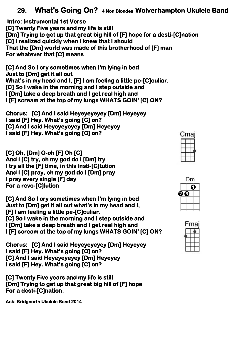### **29. What's Going On? 4 Non Blondes Wolverhampton Ukulele Band**

 **Intro: Instrumental 1st Verse [C] Twenty Five years and my life is still [Dm] Trying to get up that great big hill of [F] hope for a desti-[C]nation [C] I realized quickly when I knew that I should That the [Dm] world was made of this brotherhood of [F] man For whatever that [C] means** 

**[C] And So I cry sometimes when I'm lying in bed Just to [Dm] get it all out What's in my head and I, [F] I am feeling a little pe-[C]culiar. [C] So I wake in the morning and I step outside and I [Dm] take a deep breath and I get real high and I [F] scream at the top of my lungs WHATS GOIN' [C] ON?** 

**Chorus: [C] And I said Heyeyeyeyey [Dm] Heyeyey I said [F] Hey. What's going [C] on? [C] And I said Heyeyeyeyey [Dm] Heyeyey I said [F] Hey. What's going [C] on?** 

**[C] Oh, [Dm] O-oh [F] Oh [C] And I [C] try, oh my god do I [Dm] try I try all the [F] time, in this insti-[C]tution And I [C] pray, oh my god do I [Dm] pray I pray every single [F] day For a revo-[C]lution** 

**[C] And So I cry sometimes when I'm lying in bed Just to [Dm] get it all out what's in my head and I, [F] I am feeling a little pe-[C]culiar. [C] So I wake in the morning and I step outside and I [Dm] take a deep breath and I get real high and I [F] scream at the top of my lungs WHATS GOIN' [C] ON?** 

**Chorus: [C] And I said Heyeyeyeyey [Dm] Heyeyey I said [F] Hey. What's going [C] on? [C] And I said Heyeyeyeyey [Dm] Heyeyey I said [F] Hey. What's going [C] on?** 

**[C] Twenty Five years and my life is still [Dm] Trying to get up that great big hill of [F] hope For a desti-[C]nation.** 

**Ack: Bridgnorth Ukulele Band 2014** 





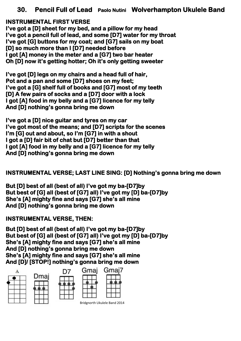**30. Pencil Full of Lead Paolo Nutini Wolverhampton Ukulele Band** 

**INSTRUMENTAL FIRST VERSE** 

**I've got a [D] sheet for my bed, and a pillow for my head I've got a pencil full of lead, and some [D7] water for my throat I've got [G] buttons for my coat; and [G7] sails on my boat [D] so much more than I [D7] needed before I got [A] money in the meter and a [G7] two bar heater Oh [D] now it's getting hotter; Oh it's only getting sweeter** 

**I've got [D] legs on my chairs and a head full of hair, Pot and a pan and some [D7] shoes on my feet; I've got a [G] shelf full of books and [G7] most of my teeth [D] A few pairs of socks and a [D7] door with a lock I got [A] food in my belly and a [G7] licence for my telly And [D] nothing's gonna bring me down** 

**I've got a [D] nice guitar and tyres on my car I've got most of the means; and [D7] scripts for the scenes I'm [G] out and about, so I'm [G7] in with a shout I got a [D] fair bit of chat but [D7] better than that I got [A] food in my belly and a [G7] licence for my telly And [D] nothing's gonna bring me down** 

**INSTRUMENTAL VERSE; LAST LINE SING: [D] Nothing's gonna bring me down** 

**But [D] best of all (best of all) I've got my ba-[D7]by But best of [G] all (best of [G7] all) I've got my [D] ba-[D7]by She's [A] mighty fine and says [G7] she's all mine And [D] nothing's gonna bring me down** 

**INSTRUMENTAL VERSE, THEN:** 

**But [D] best of all (best of all) I've got my ba-[D7]by But best of [G] all (best of [G7] all) I've got my [D] ba-[D7]by She's [A] mighty fine and says [G7] she's all mine And [D] nothing's gonna bring me down She's [A] mighty fine and says [G7] she's all mine And [D]/ [STOP!] nothing's gonna bring me down** 





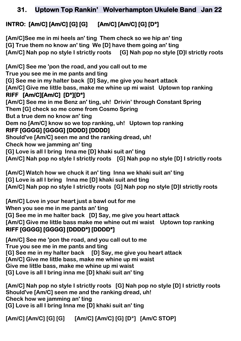### **31. Uptown Top Rankin' Wolverhampton Ukulele Band Jan 22**

### **INTRO: [Am/C] [Am/C] [G] [G] [Am/C] [Am/C] [G] [D\*]**

**[Am/C]See me in mi heels an' ting Them check so we hip an' ting [G] True them no know an' ting We [D] have them going an' ting [Am/C] Nah pop no style I strictly roots [G] Nah pop no style [D]I strictly roots**

**[Am/C] See me 'pon the road, and you call out to me True you see me in me pants and ting [G] See me in my halter back [D] Say, me give you heart attack [Am/C] Give me little bass, make me whine up mi waist Uptown top ranking RIFF [Am/C][Am/C] [D\*][D\*] [Am/C] See me in me Benz an' ting, uh! Drivin' through Constant Spring Them [G] check so me come from Cosmo Spring But a true dem no know an' ting Dem no [Am/C] know so we top ranking, uh! Uptown top ranking RIFF [GGGG] [GGGG] [DDDD] [DDDD] Should've [Am/C] seen me and the ranking dread, uh! Check how we jamming an' ting [G] Love is all I bring Inna me [D] khaki suit an' ting [Am/C] Nah pop no style I strictly roots [G] Nah pop no style [D] I strictly roots**

**[Am/C] Watch how we chuck it an' ting Inna we khaki suit an' ting [G] Love is all I bring Inna me [D] khaki suit and ting [Am/C] Nah pop no style I strictly roots [G] Nah pop no style [D]I strictly roots**

**[Am/C] Love in your heart just a bawl out for me When you see me in me pants an' ting [G] See me in me halter back [D] Say, me give you heart attack [Am/C] Give me little bass make me whine out mi waist Uptown top ranking RIFF [GGGG] [GGGG] [DDDD\*] [DDDD\*]**

**[Am/C] See me 'pon the road, and you call out to me True you see me in me pants and ting [G] See me in my halter back [D] Say, me give you heart attack [Am/C] Give me little bass, make me whine up mi waist Give me little bass, make me whine up mi waist [G] Love is all I bring inna me [D] khaki suit an' ting**

**[Am/C] Nah pop no style I strictly roots [G] Nah pop no style [D] I strictly roots Should've [Am/C] seen me and the ranking dread, uh! Check how we jamming an' ting [G] Love is all I bring Inna me [D] khaki suit an' ting** 

**[Am/C] [Am/C] [G] [G] [Am/C] [Am/C] [G] [D\*] [Am/C STOP]**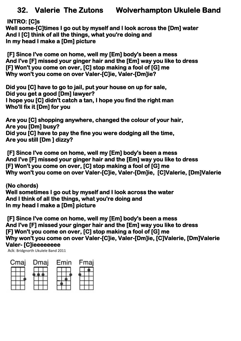**INTRO: [C]s** 

**Well some-[C]times I go out by myself and I look across the [Dm] water And I [C] think of all the things, what you're doing and In my head I make a [Dm] picture** 

 **[F] Since I've come on home, well my [Em] body's been a mess And I've [F] missed your ginger hair and the [Em] way you like to dress [F] Won't you come on over, [C] stop making a fool of [G] me Why won't you come on over Valer-[C]ie, Valer-[Dm]ie?** 

**Did you [C] have to go to jail, put your house on up for sale, Did you get a good [Dm] lawyer? I hope you [C] didn't catch a tan, I hope you find the right man Who'll fix it [Dm] for you** 

**Are you [C] shopping anywhere, changed the colour of your hair, Are you [Dm] busy? Did you [C] have to pay the fine you were dodging all the time, Are you still [Dm ] dizzy?** 

 **[F] Since I've come on home, well my [Em] body's been a mess And I've [F] missed your ginger hair and the [Em] way you like to dress [F] Won't you come on over, [C] stop making a fool of [G] me Why won't you come on over Valer-[C]ie, Valer-[Dm]ie, [C]Valerie, [Dm]Valerie** 

**(No chords) Well sometimes I go out by myself and I look across the water And I think of all the things, what you're doing and In my head I make a [Dm] picture** 

 **[F] Since I've come on home, well my [Em] body's been a mess And I've [F] missed your ginger hair and the [Em] way you like to dress [F] Won't you come on over, [C] stop making a fool of [G] me Why won't you come on over Valer-[C]ie, Valer-[Dm]ie, [C]Valerie, [Dm]Valerie Valer- [C]ieeeeeeee** 

Ack: Bridgnorth Ukulele Band 2011

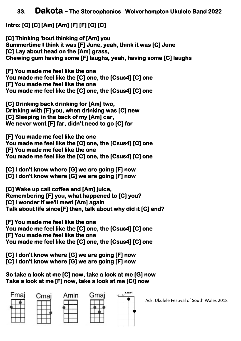### **33. Dakota - The Stereophonics Wolverhampton Ukulele Band 2022**

### **Intro: [C] [C] [Am] [Am] [F] [F] [C] [C]**

**[C] Thinking 'bout thinking of [Am] you Summertime I think it was [F] June, yeah, think it was [C] June [C] Lay about head on the [Am] grass, Chewing gum having some [F] laughs, yeah, having some [C] laughs** 

**[F] You made me feel like the one You made me feel like the [C] one, the [Csus4] [C] one [F] You made me feel like the one You made me feel like the [C] one, the [Csus4] [C] one** 

**[C] Drinking back drinking for [Am] two, Drinking with [F] you, when drinking was [C] new [C] Sleeping in the back of my [Am] car, We never went [F] far, didn't need to go [C] far** 

**[F] You made me feel like the one You made me feel like the [C] one, the [Csus4] [C] one [F] You made me feel like the one You made me feel like the [C] one, the [Csus4] [C] one** 

**[C] I don't know where [G] we are going [F] now [C] I don't know where [G] we are going [F] now** 

**[C] Wake up call coffee and [Am] juice, Remembering [F] you, what happened to [C] you? [C] I wonder if we'll meet [Am] again Talk about life since[F] then, talk about why did it [C] end?** 

**[F] You made me feel like the one You made me feel like the [C] one, the [Csus4] [C] one [F] You made me feel like the one You made me feel like the [C] one, the [Csus4] [C] one** 

**[C] I don't know where [G] we are going [F] now [C] I don't know where [G] we are going [F] now** 

**So take a look at me [C] now, take a look at me [G] now Take a look at me [F] now, take a look at me [C/] now** 









Csus4

Ack: Ukulele Festival of South Wales 2018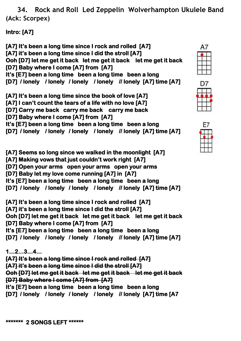**34. Rock and Roll Led Zeppelin Wolverhampton Ukulele Band (Ack: Scorpex)**

**Intro: [A7]** 

**[A7] It's been a long time since I rock and rolled [A7] [A7] it's been a long time since I did the stroll [A7] Ooh [D7] let me get it back let me get it back let me get it back [D7] Baby where I come [A7] from [A7] It's [E7] been a long time been a long time been a long [D7] / lonely / lonely / lonely / lonely // lonely [A7] time [A7]** 

**[A7] It's been a long time since the book of love [A7] [A7] I can't count the tears of a life with no love [A7] [D7] Carry me back carry me back carry me back [D7] Baby where I come [A7] from [A7] It's [E7] been a long time been a long time been a long [D7] / lonely / lonely / lonely / lonely // lonely [A7] time [A7]** 

**[A7] Seems so long since we walked in the moonlight [A7] [A7] Making vows that just couldn't work right [A7] [D7] Open your arms open your arms open your arms [D7] Baby let my love come running [A7] in [A7] It's [E7] been a long time been a long time been a long [D7] / lonely / lonely / lonely / lonely // lonely [A7] time [A7]** 

**[A7] It's been a long time since I rock and rolled [A7] [A7] it's been a long time since I did the stroll [A7] Ooh [D7] let me get it back let me get it back let me get it back [D7] Baby where I come [A7] from [A7] It's [E7] been a long time been a long time been a long [D7] / lonely / lonely / lonely / lonely // lonely [A7] time [A7]** 

**1…2…3…4… [A7] It's been a long time since I rock and rolled [A7] [A7] it's been a long time since I did the stroll [A7] Ooh [D7] let me get it back let me get it back let me get it back [D7] Baby where I come [A7] from [A7] It's [E7] been a long time been a long time been a long [D7] / lonely / lonely / lonely / lonely // lonely [A7] time [A7** 





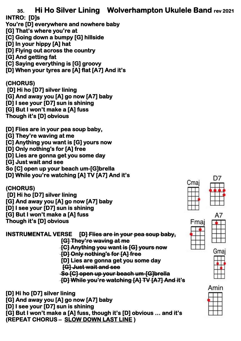### **35. Hi Ho Silver Lining Wolverhampton Ukulele Band rev 2021 INTRO: [D]s**

**You're [D] everywhere and nowhere baby** 

**[G] That's where you're at** 

**[C] Going down a bumpy [G] hillside** 

**[D] In your hippy [A] hat** 

**[D] Flying out across the country** 

**[G] And getting fat** 

**[C] Saying everything is [G] groovy** 

**[D] When your tyres are [A] flat [A7] And it's** 

**(CHORUS)** 

 **[D] Hi ho [D7] silver lining** 

**[G] And away you [A] go now [A7] baby** 

**[D] I see your [D7] sun is shining** 

**[G] But I won't make a [A] fuss** 

**Though it's [D] obvious** 

**[D] Flies are in your pea soup baby,** 

**[G] They're waving at me** 

**[C] Anything you want is [G] yours now** 

**[D] Only nothing's for [A] free** 

**[D] Lies are gonna get you some day** 

**[G] Just wait and see** 

**So [C] open up your beach um-[G]brella** 

**[D] While you're watching [A] TV [A7] And it's** 

### **(CHORUS)**

 **[D] Hi ho [D7] silver lining [G] And away you [A] go now [A7] baby [D] I see your [D7] sun is shining [G] But I won't make a [A] fuss Though it's [D] obvious** 

### **INSTRUMENTAL VERSE [D] Flies are in your pea soup baby, [G] They're waving at me**

 **[C] Anything you want is [G] yours now** 

- **[D] Only nothing's for [A] free**
- **[D] Lies are gonna get you some day**

 **[G] Just wait and see** 

 **So [C] open up your beach um-[G]brella [D] While you're watching [A] TV [A7] And it's** 

**[D] Hi ho [D7] silver lining [G] And away you [A] go now [A7] baby [D] I see your [D7] sun is shining [G] But I won't make a [A] fuss, though it's [D] obvious … and it's (REPEAT CHORUS – SLOW DOWN LAST LINE )** 

| Cmaj |  |
|------|--|
|      |  |
|      |  |
|      |  |



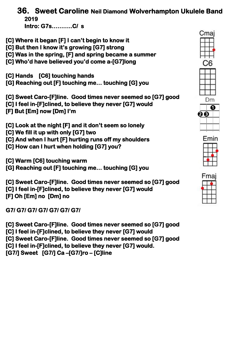### **36. Sweet Caroline Neil Diamond Wolverhampton Ukulele Band 2019**

**Intro: G7s………..C/ s** 

**[C] Where it began [F] I can't begin to know it** 

**[C] But then I know it's growing [G7] strong** 

**[C] Was in the spring, [F] and spring became a summer** 

**[C] Who'd have believed you'd come a-[G7]long** 

**[C] Hands [C6] touching hands [G] Reaching out [F] touching me… touching [G] you** 

**[C] Sweet Caro-[F]line. Good times never seemed so [G7] good [C] I feel in-[F]clined, to believe they never [G7] would [F] But [Em] now [Dm] I'm** 

**[C] Look at the night [F] and it don't seem so lonely** 

**[C] We fill it up with only [G7] two** 

**[C] And when I hurt [F] hurting runs off my shoulders** 

**[C] How can I hurt when holding [G7] you?** 

**[C] Warm [C6] touching warm [G] Reaching out [F] touching me… touching [G] you** 

**[C] Sweet Caro-[F]line. Good times never seemed so [G7] good [C] I feel in-[F]clined, to believe they never [G7] would [F] Oh [Em] no [Dm] no** 

**G7/ G7/ G7/ G7/ G7/ G7/ G7/** 

**[C] Sweet Caro-[F]line. Good times never seemed so [G7] good** 

**[C] I feel in-[F]clined, to believe they never [G7] would** 

**[C] Sweet Caro-[F]line. Good times never seemed so [G7] good** 

**[C] I feel in-[F]clined, to believe they never [G7] would.** 

**[G7/] Sweet [G7/] Ca –[G7/]ro – [C]line**